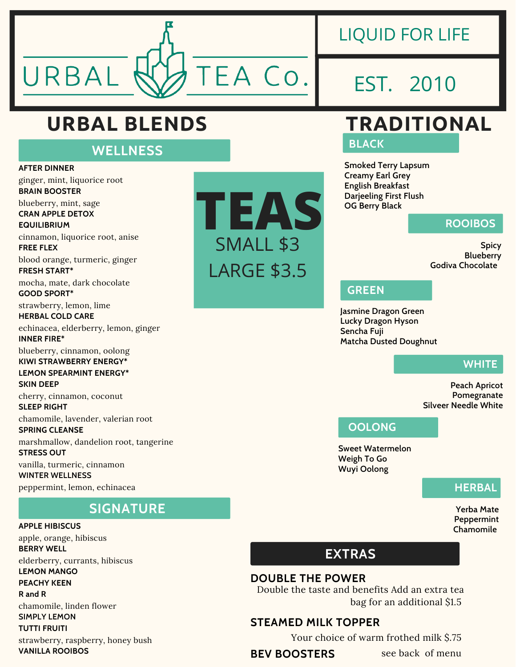

### LIQUID FOR LIFE

## EST. 2010

### **URBAL BLENDS TRADITIONAL**

### **WELLNESS**

**AFTER DINNER** ginger, mint, liquorice root **BRAIN BOOSTER** blueberry, mint, sage **CRAN APPLE DETOX EQUILIBRIUM** cinnamon, liquorice root, anise **FREE FLEX** blood orange, turmeric, ginger **FRESH START\*** mocha, mate, dark chocolate **GOOD SPORT\*** strawberry, lemon, lime **HERBAL COLD CARE** echinacea, elderberry, lemon, ginger **INNER FIRE\*** blueberry, cinnamon, oolong **KIWI STRAWBERRY ENERGY\* LEMON SPEARMINT ENERGY\* SKIN DEEP** cherry, cinnamon, coconut **SLEEP RIGHT** chamomile, lavender, valerian root **SPRING CLEANSE** marshmallow, dandelion root, tangerine **STRESS OUT** vanilla, turmeric, cinnamon **WINTER WELLNESS** peppermint, lemon, echinacea

### **SIGNATURE**

**APPLE HIBISCUS** apple, orange, hibiscus **BERRY WELL** elderberry, currants, hibiscus **LEMON MANGO PEACHY KEEN R and R** chamomile, linden flower **SIMPLY LEMON TUTTI FRUITI**





**BLACK**

**Smoked Terry Lapsum Creamy Earl Grey English Breakfast Darjeeling First Flush OG Berry Black**

#### **ROOIBOS**

**Spicy Blueberry Godiva Chocolate**

#### **GREEN**

**Jasmine Dragon Green Lucky Dragon Hyson Sencha Fuji Matcha Dusted Doughnut**

#### **WHITE**

**Peach Apricot Pomegranate Silveer Needle White**

#### **OOLONG**

**Sweet Watermelon Weigh To Go Wuyi Oolong**

#### **HERBAL**

**Yerba Mate Peppermint Chamomile**

### **EXTRAS**

#### **DOUBLE THE POWER**

Double the taste and benefits Add an extra tea bag for an additional \$1.5

#### **STEAMED MILK TOPPER**

Your choice of warm frothed milk \$.75

### **BEV BOOSTERS**

see back of menu